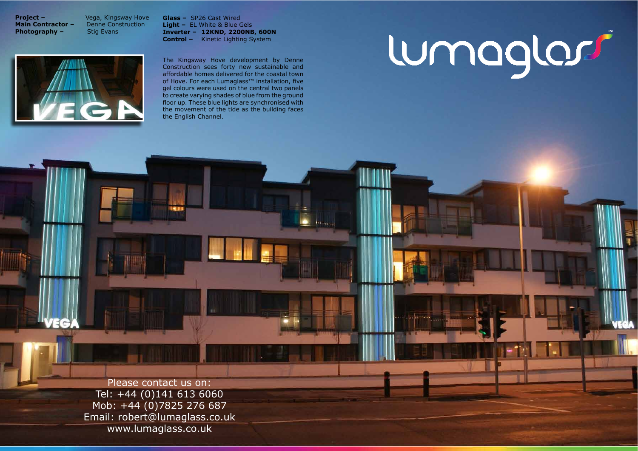**Project -Main Contractor -**Photography -

Vega, Kingsway Hove **Denne Construction Stig Evans** 

Glass - SP26 Cast Wired Light - EL White & Blue Gels Inverter - 12KND, 2200NB, 600N **Control -** Kinetic Lighting System

The Kingsway Hove development by Denne Construction sees forty new sustainable and affordable homes delivered for the coastal town of Hove. For each Lumaglass™ installation, five gel colours were used on the central two panels to create varying shades of blue from the ground floor up. These blue lights are synchronised with the movement of the tide as the building faces the English Channel.

Please contact us on: Tel: +44 (0)141 613 6060 Mob: +44 (0)7825 276 687 Email: robert@lumaglass.co.uk www.lumaglass.co.uk

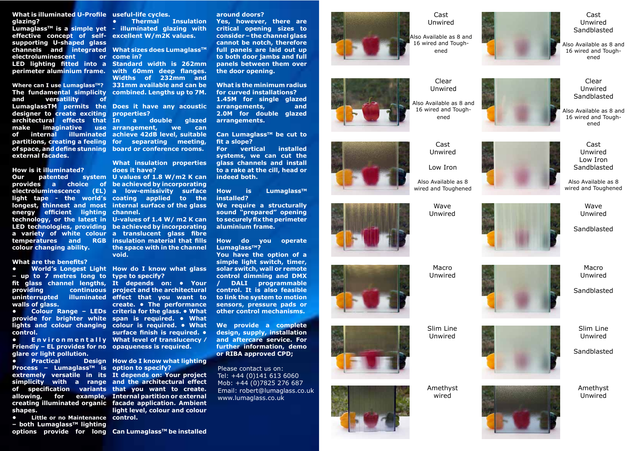## Cast Unwired

Also Available as 8 and 16 wired and Toughened



Cast Unwired

Low Iron

Also Available as 8 wired and Toughened

> Wave Unwired

## Cast Unwired Sandblasted

Also Available as 8 and 16 wired and Toughened

Macro Unwired







Cast Unwired Low Iron Sandblasted

Also Available as 8 wired and Toughened





Amethyst wired



Wave Unwired

Amethyst Unwired













Slim Line Unwired

Also Available as 8 and 16 wired and Toughened



Also Available as 8 and 16 wired and Toughened

#### **What is illuminated U-Profile useful-life cycles. glazing?**

Lumaglass™ is a simple yet - illuminated glazing with effective concept of self- excellent W/m2K values. supporting U-shaped glass **channels and integrated What sizes does Lumaglass™ electroluminescent** LED lighting fitted into a Standard width is 262mm

**Where can I use Lumaglass™?** 331mm available and can be **The fundamental simplicity combined. Lengths up to 7M.** and versatility of LumaglassTM permits the Does it have any acoustic designer to create exciting **architectural effects that In make** imaginative of internal illuminated achieve 42dB level, suitable **partitions, creating a feeling for separating meeting,** of space, and define stunning board or conference rooms. external facades.

#### How is it illuminated?

**Our** patented **provides** a choice of be achieved by incorporating **electroluminescence (EL) a low-emissivity surface** light tape - the world's coating applied to the **longest, thinnest and most internal surface of the glass** energy efficient lighting channel. technology, or the latest in U-values of 1.4 W/m2K can colour changing ability.

#### **What are the benefits?**

- up to 7 metres long to type to specify? walls of glass.

Sandblasted

Macro Unwired

# Sandblasted

Sandblasted

Clear&

Unwired

## Clear Unwired Sandblasted

**• Colour Range - LEDs criteria for the glass. • What** provide for brighter white span is required. • What **lights and colour changing colour is required. • What control.**

Friendly - EL provides for no opaqueness is required. **glare or light pollution.** 

**Practical Process − Lumaglass<sup>™</sup> is option to specify? extremely versatile in its It depends on: Your project simplicity** with a range and the architectural effect of specification variants that you want to create. allowing, for example, Internal partition or external **creating(illuminated(organic( facade( application.( Ambient( shapes.**

**•** Little or no Maintenance control. **− both Lumaglass<sup>™</sup> lighting options** provide for long Can Lumaglass™ be installed

**•** Thermal Insulation

or come in?

perimeter aluminium frame. with 60mm deep flanges. Widths of 232mm and

LED technologies, providing be achieved by incorporating a variety of white colour a translucent glass fibre temperatures and RGB insulation material that fills the space with in the channel **void.**

**• World's Longest Light How do I know what glass** 

fit glass channel lengths, It depends on:  $\bullet$  Your **providing continuous project and the architectural uninterrupted illuminated effect that you want to E n** viron mentally What level of translucency / create. • The performance surface finish is required.  $\bullet$ 

**Design How do I know what lighting** 

**light level, colour and colour** 

**What is the minimum radius for curved installations? 1.45M** for single glazed arrangements, and **2.0M** for double glazed **arrangements.**

Can Lumaglass<sup>™</sup> be cut to fit a slope?

**For** vertical installed systems, we can cut the **glass channels and install** to a rake at the cill, head or indeed both.

How is **Lumaglass<sup>™</sup> installed?**

**We require a structurally** sound "prepared" opening to securely fix the perimeter **aluminium frame.** 

How do you operate **LumaglassTM ?**

You have the option of a simple light switch, timer, solar switch, wall or remote control dimming and DMX **DALI** programmable control. It is also feasible to link the system to motion sensors, pressure pads or **other control mechanisms.** 

We provide a complete design, supply, installation and aftercare service. For further information, demo **or RIBA approved CPD;** 

Please contact us on: Tel: +44 (0)141 613 6060 Mob: +44 (0)7825 276 687 Email: robert@lumaglass.co.uk www.lumaglass.co.uk



**properties?**

**a** double glazed use arrangement, we can

> **What insulation properties** does it have?

**System** U values of 1.8 W/m2 K can

#### **around(doors?**

Yes, however, there are **critical opening sizes to** consider - the channel glass **cannot be notch, therefore** full panels are laid out up to both door jambs and full **panels between them over** the door opening.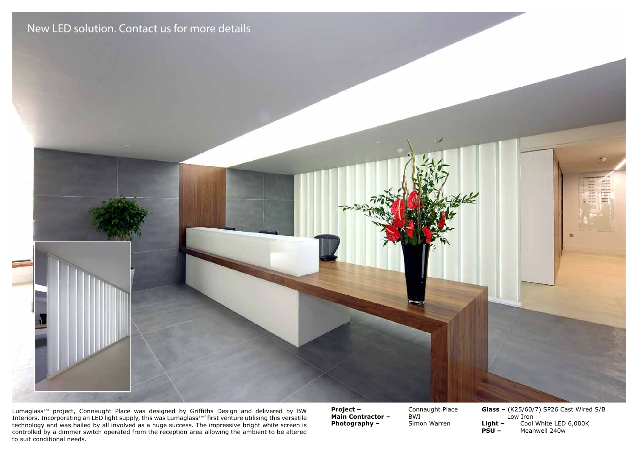

Lumaglass™ project, Connaught Place was designed by Griffiths Design and delivered by BW Interiors. Incorporating an LED light supply, this was Lumaglass™' first venture utilising this versatile technology and was hailed by all involved as a huge success. The impressive bright white screen is controlled by a dimmer switch operated from the reception area allowing the ambient to be altered to suit conditional needs.

**Project –** Connaught Place<br> **Main Contractor –** BWI **Main Contractor -**Photography - Simon Warren

**Glass -** (K25/60/7) SP26 Cast Wired S/B Low Iron<br> **Light -** Cool<br> **PSU -** Mear **Light(–(** Cool&White&LED&6,000K**(( ( Meanwell 240w**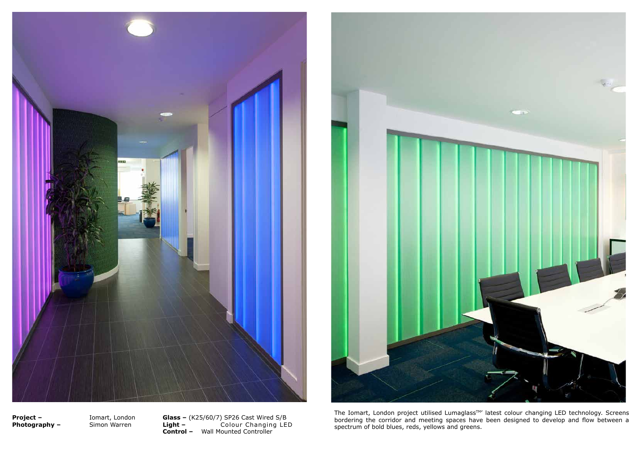



The Iomart, London project utilised Lumaglass<sup>™</sup> latest colour changing LED technology. Screens bordering the corridor and meeting spaces have been designed to develop and flow between a spectrum of bold blues, reds, yell

**Project -**Photography  $-$ 

Iomart, London Simon Warren

Glass - (K25/60/7) SP26 Cast Wired S/B<br>Light - Colour Changing LED **Control -** Wall Mounted Controller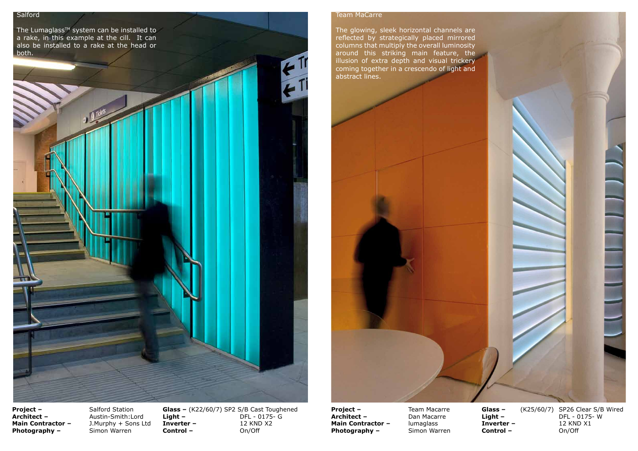The Lumaglass™ system can be installed to a rake, in this example at the cill. It can also be installed to a rake at the head or both.

### Team MaCarre

The glowing, sleek horizontal channels are reflected by strategically placed mirrored columns that multiply the overall luminosity around this striking main feature, the  $i$ llusion of extra depth and visual trickery coming together in a crescendo of light and abstract lines.



**Project –** Salford Station<br> **Architect –** Austin-Smith:Lo Photography -

Austin-Smith:Lord **Main Contractor –** J.Murphy + Sons Ltd<br>**Photography –** Simon Warren **Glass –** (K22/60/7) SP2 S/B Cast Toughened<br>**Light –** DFL - 0175- G **DFL - 0175- G Inverter –** 12 KND X2<br> **Control –** On/Off **Control-** **Project –** Team Macarre<br> **Architect –** Dan Macarre **Main Contractor –** lumaglass<br>**Photography –** Simon Warren **Photography -**

**Dan Macarre** 



**Control-**

**Glass –** (K25/60/7) SP26 Clear S/B Wired **Light –** DFL - 0175- W **Inverter –** 12 KND X1<br> **Control –** On/Off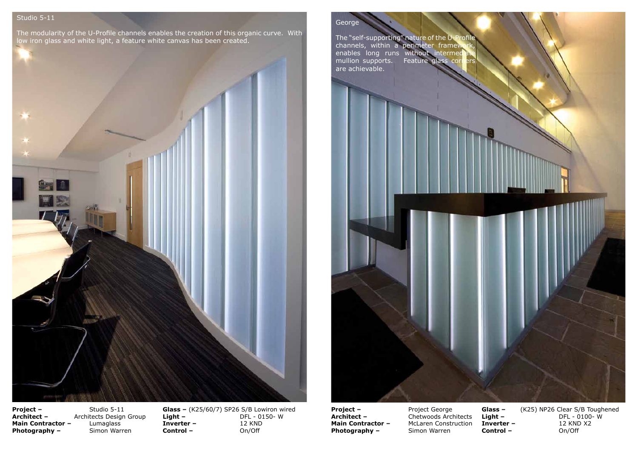# Studio 5-11

The modularity of the U-Profile channels enables the creation of this organic curve. With low iron glass and white light, a feature white canvas has been created.



George

The "self-supporting" nature of the U-Profile channels, within a perimeter framework, enables long runs without intermedi mullion supports. Feature glass corners are achievable.

**Project –** Project George<br> **Architect –** Chetwoods Arch Photography -

**Chetwoods Architects Main Contractor –** McLaren Construction<br>**Photography –** Simon Warren

**Project –** Studio 5-11 **Photography -**

**Architect –** Architects Design Group **Main Contractor –** Lumaglass<br>**Photography –** Simon Warren

**Glass -** (K25/60/7) SP26 S/B Lowiron wired **Light – Company DFL - 0150-W Inverter –** 12 KND<br>**Control –** On/Off **Control-**



**Control-**

Glass – (K25) NP26 Clear S/B Toughened **Light – Company Company DFL - 0100-W Inverter –** 12 KND X2<br> **Control –** On/Off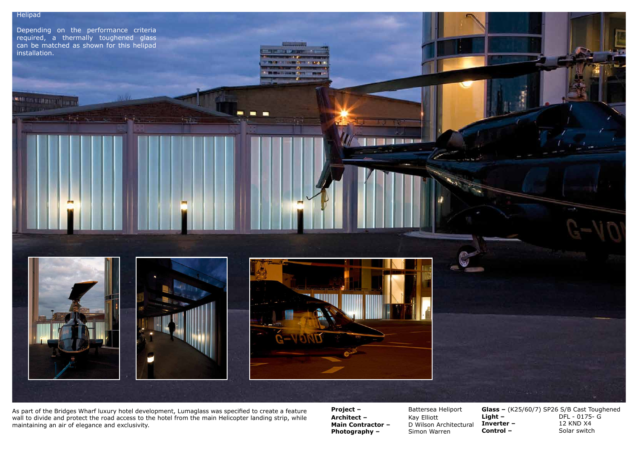**SOLUTION AND ARRESTS** 

Depending on the performance criteria required, a thermally toughened glass  $\overrightarrow{c}$  can be matched as shown for this helipad installation.



As part of the Bridges Wharf luxury hotel development, Lumaglass was specified to create a feature wall to divide and protect the road access to the hotel from the main Helicopter landing strip, while maintaining an air of elegance and exclusivity.

**Architect –** Kay Elliott **Photography – Simon Warren** 

**Project – Battersea Heliport Main Contractor – D** Wilson Architectural



**Glass -** (K25/60/7) SP26 S/B Cast Toughened **Light –** DFL - 0175- G **Inverter –** 12 KND X4<br> **Control –** Solar switch **Solar switch**